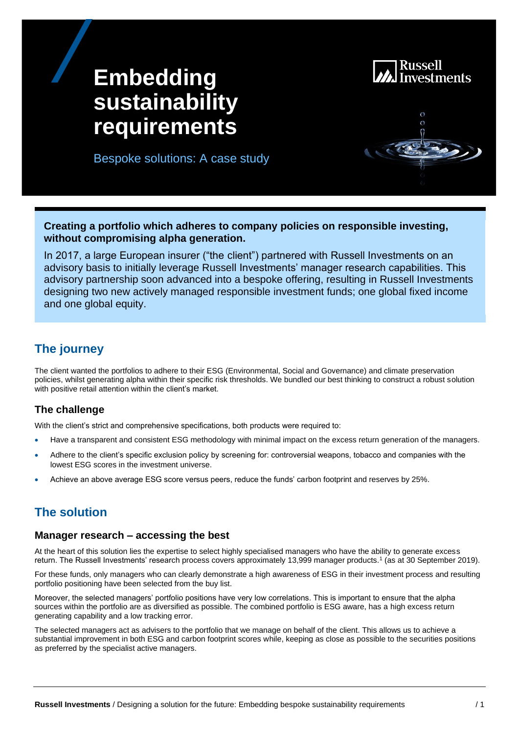

# **Embedding sustainability requirements**

CASE STUDY OF THE STUDY OF

Bespoke solutions: A case study



**Creating a portfolio which adheres to company policies on responsible investing, without compromising alpha generation.** 

In 2017, a large European insurer ("the client") partnered with Russell Investments on an advisory basis to initially leverage Russell Investments' manager research capabilities. This advisory partnership soon advanced into a bespoke offering, resulting in Russell Investments designing two new actively managed responsible investment funds; one global fixed income and one global equity.

## **The journey**

The client wanted the portfolios to adhere to their ESG (Environmental, Social and Governance) and climate preservation policies, whilst generating alpha within their specific risk thresholds. We bundled our best thinking to construct a robust solution with positive retail attention within the client's market.

#### **The challenge**

With the client's strict and comprehensive specifications, both products were required to:

- Have a transparent and consistent ESG methodology with minimal impact on the excess return generation of the managers.
- Adhere to the client's specific exclusion policy by screening for: controversial weapons, tobacco and companies with the lowest ESG scores in the investment universe.
- Achieve an above average ESG score versus peers, reduce the funds' carbon footprint and reserves by 25%.

## **The solution**

#### **Manager research – accessing the best**

At the heart of this solution lies the expertise to select highly specialised managers who have the ability to generate excess return. The Russell Investments' research process covers approximately 13,999 manager products.<sup>1</sup> (as at 30 September 2019).

For these funds, only managers who can clearly demonstrate a high awareness of ESG in their investment process and resulting portfolio positioning have been selected from the buy list.

Moreover, the selected managers' portfolio positions have very low correlations. This is important to ensure that the alpha sources within the portfolio are as diversified as possible. The combined portfolio is ESG aware, has a high excess return generating capability and a low tracking error.

The selected managers act as advisers to the portfolio that we manage on behalf of the client. This allows us to achieve a substantial improvement in both ESG and carbon footprint scores while, keeping as close as possible to the securities positions as preferred by the specialist active managers.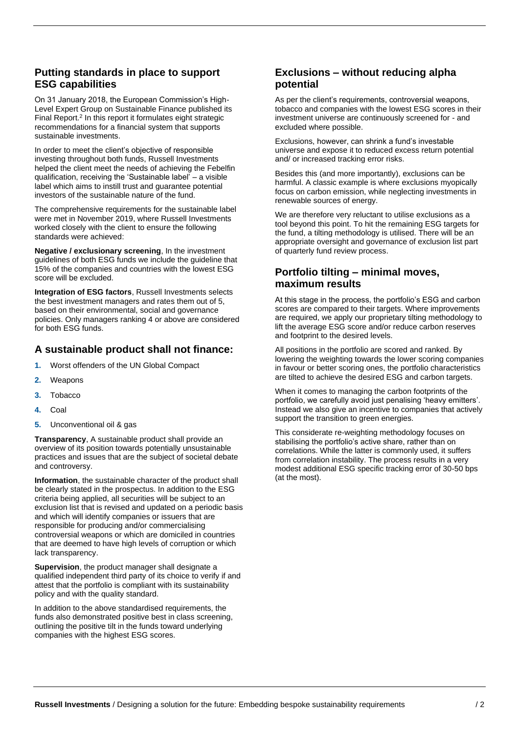#### **Putting standards in place to support ESG capabilities**

On 31 January 2018, the European Commission's High-Level Expert Group on Sustainable Finance published its Final Report.<sup>2</sup> In this report it formulates eight strategic recommendations for a financial system that supports sustainable investments.

In order to meet the client's objective of responsible investing throughout both funds, Russell Investments helped the client meet the needs of achieving the Febelfin qualification, receiving the 'Sustainable label' – a visible label which aims to instill trust and guarantee potential investors of the sustainable nature of the fund.

The comprehensive requirements for the sustainable label were met in November 2019, where Russell Investments worked closely with the client to ensure the following standards were achieved:

**Negative / exclusionary screening**, In the investment guidelines of both ESG funds we include the guideline that 15% of the companies and countries with the lowest ESG score will be excluded.

**Integration of ESG factors**, Russell Investments selects the best investment managers and rates them out of 5, based on their environmental, social and governance policies. Only managers ranking 4 or above are considered for both ESG funds.

#### **A sustainable product shall not finance:**

- **1.** Worst offenders of the UN Global Compact
- **2.** Weapons
- **3.** Tobacco
- **4.** Coal
- **5.** Unconventional oil & gas

**Transparency**, A sustainable product shall provide an overview of its position towards potentially unsustainable practices and issues that are the subject of societal debate and controversy.

**Information**, the sustainable character of the product shall be clearly stated in the prospectus. In addition to the ESG criteria being applied, all securities will be subject to an exclusion list that is revised and updated on a periodic basis and which will identify companies or issuers that are responsible for producing and/or commercialising controversial weapons or which are domiciled in countries that are deemed to have high levels of corruption or which lack transparency.

**Supervision**, the product manager shall designate a qualified independent third party of its choice to verify if and attest that the portfolio is compliant with its sustainability policy and with the quality standard.

In addition to the above standardised requirements, the funds also demonstrated positive best in class screening, outlining the positive tilt in the funds toward underlying companies with the highest ESG scores.

#### **Exclusions – without reducing alpha potential**

As per the client's requirements, controversial weapons, tobacco and companies with the lowest ESG scores in their investment universe are continuously screened for - and excluded where possible.

Exclusions, however, can shrink a fund's investable universe and expose it to reduced excess return potential and/ or increased tracking error risks.

Besides this (and more importantly), exclusions can be harmful. A classic example is where exclusions myopically focus on carbon emission, while neglecting investments in renewable sources of energy.

We are therefore very reluctant to utilise exclusions as a tool beyond this point. To hit the remaining ESG targets for the fund, a tilting methodology is utilised. There will be an appropriate oversight and governance of exclusion list part of quarterly fund review process.

#### **Portfolio tilting – minimal moves, maximum results**

At this stage in the process, the portfolio's ESG and carbon scores are compared to their targets. Where improvements are required, we apply our proprietary tilting methodology to lift the average ESG score and/or reduce carbon reserves and footprint to the desired levels.

All positions in the portfolio are scored and ranked. By lowering the weighting towards the lower scoring companies in favour or better scoring ones, the portfolio characteristics are tilted to achieve the desired ESG and carbon targets.

When it comes to managing the carbon footprints of the portfolio, we carefully avoid just penalising 'heavy emitters'. Instead we also give an incentive to companies that actively support the transition to green energies.

This considerate re-weighting methodology focuses on stabilising the portfolio's active share, rather than on correlations. While the latter is commonly used, it suffers from correlation instability. The process results in a very modest additional ESG specific tracking error of 30-50 bps (at the most).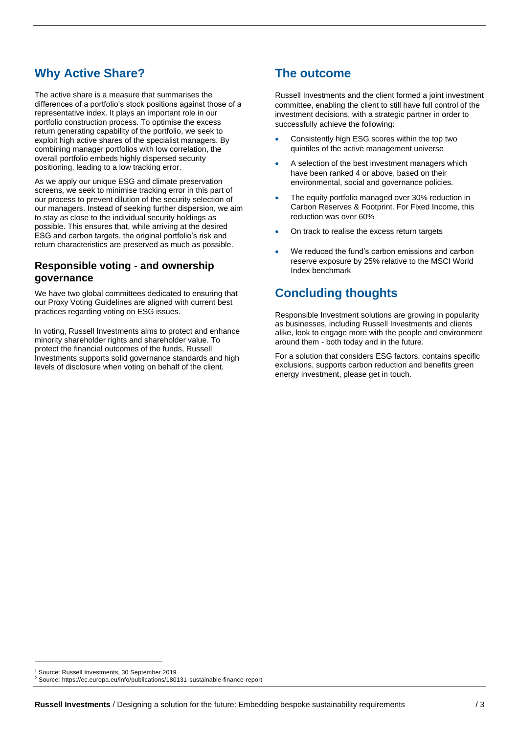# **Why Active Share?**

The active share is a measure that summarises the differences of a portfolio's stock positions against those of a representative index. It plays an important role in our portfolio construction process. To optimise the excess return generating capability of the portfolio, we seek to exploit high active shares of the specialist managers. By combining manager portfolios with low correlation, the overall portfolio embeds highly dispersed security positioning, leading to a low tracking error.

As we apply our unique ESG and climate preservation screens, we seek to minimise tracking error in this part of our process to prevent dilution of the security selection of our managers. Instead of seeking further dispersion, we aim to stay as close to the individual security holdings as possible. This ensures that, while arriving at the desired ESG and carbon targets, the original portfolio's risk and return characteristics are preserved as much as possible.

#### **Responsible voting - and ownership governance**

We have two global committees dedicated to ensuring that our Proxy Voting Guidelines are aligned with current best practices regarding voting on ESG issues.

In voting, Russell Investments aims to protect and enhance minority shareholder rights and shareholder value. To protect the financial outcomes of the funds, Russell Investments supports solid governance standards and high levels of disclosure when voting on behalf of the client.

## **The outcome**

Russell Investments and the client formed a joint investment committee, enabling the client to still have full control of the investment decisions, with a strategic partner in order to successfully achieve the following:

- Consistently high ESG scores within the top two quintiles of the active management universe
- A selection of the best investment managers which have been ranked 4 or above, based on their environmental, social and governance policies.
- The equity portfolio managed over 30% reduction in Carbon Reserves & Footprint. For Fixed Income, this reduction was over 60%
- On track to realise the excess return targets
- We reduced the fund's carbon emissions and carbon reserve exposure by 25% relative to the MSCI World Index benchmark

# **Concluding thoughts**

Responsible Investment solutions are growing in popularity as businesses, including Russell Investments and clients alike, look to engage more with the people and environment around them - both today and in the future.

For a solution that considers ESG factors, contains specific exclusions, supports carbon reduction and benefits green energy investment, please get in touch.

<sup>1</sup> Source: Russell Investments, 30 September 2019

<sup>2</sup> Source:<https://ec.europa.eu/info/publications/180131-sustainable-finance-report>